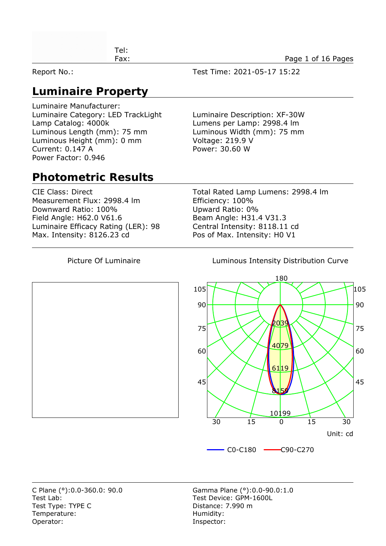| ™el: |                    |
|------|--------------------|
| Fax: | Page 1 of 16 Pages |
|      |                    |

Report No.: Test Time: 2021-05-17 15:22

## **Luminaire Property**

Luminaire Manufacturer: Luminaire Category: LED TrackLight Luminaire Description: XF-30W Lamp Catalog: 4000k Lumens per Lamp: 2998.4 lm Luminous Length (mm): 75 mm Luminous Width (mm): 75 mm Luminous Height (mm): 0 mm Voltage: 219.9 V Current: 0.147 A Power: 30.60 W Power Factor: 0.946

#### **Photometric Results**

Measurement Flux: 2998.4 lm Efficiency: 100% Downward Ratio: 100% Upward Ratio: 0% Field Angle: H62.0 V61.6 Beam Angle: H31.4 V31.3 Luminaire Efficacy Rating (LER): 98 Central Intensity: 8118.11 cd Max. Intensity: 8126.23 cd Pos of Max. Intensity: H0 V1

CIE Class: Direct Total Rated Lamp Lumens: 2998.4 lm

Picture Of Luminaire **Luminous Intensity Distribution Curve** 



Test Lab: Test Device: GPM-1600L Test Type: TYPE C Distance: 7.990 m Temperature: Temperature: Temperature: Operator: Inspector: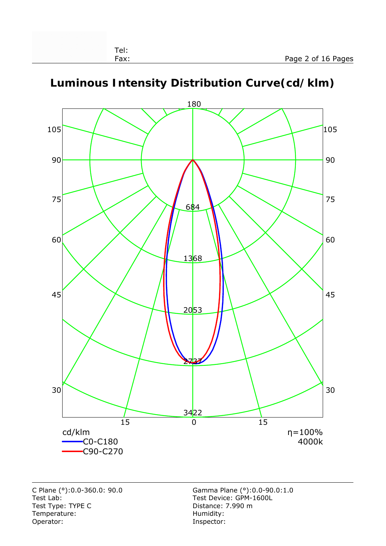

#### **Luminous Intensity Distribution Curve(cd/klm)**

Test Lab: Test Device: GPM-1600L Test Type: TYPE C<br>
Temperature: Contract Contract Contract Contract Contract Contract Contract Contract Contract Contract Contract Contract Contract Contract Contract Contract Contract Contract Contract Contract Contract C Temperature:<br>Operator: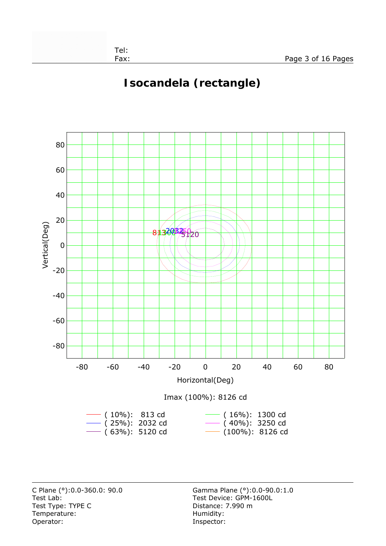# **Isocandela (rectangle)**



Test Lab: Test Device: GPM-1600L Test Type: TYPE C Distance: 7.990 m Temperature: Temperature: Temperature: Operator: Inspector: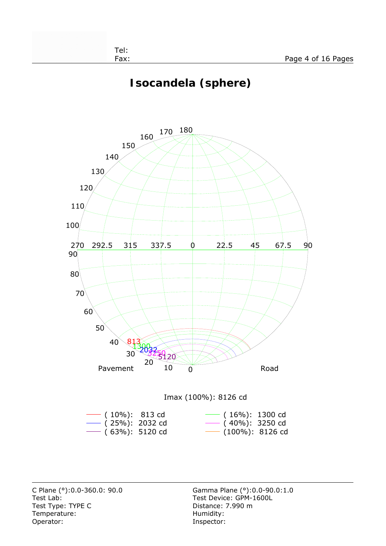# **Isocandela (sphere)**



Test Lab: Test Device: GPM-1600L Test Type: TYPE C Distance: 7.990 m Temperature: Temperature: Temperature: Operator: Inspector: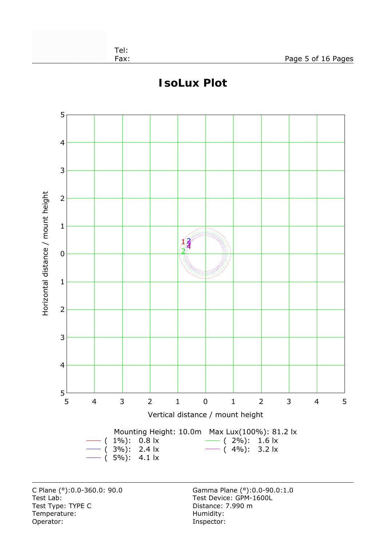

## **IsoLux Plot**

C Plane (°):0.0-360.0: 90.0 Gamma Plane (°):0.0-90.0:1.0 Test Lab: Test Device: GPM-1600L Test Type: TYPE C<br>
Temperature: Contract Contract Contract Contract Contract Contract Contract Contract Contract Contract Contract Contract Contract Contract Contract Contract Contract Contract Contract Contract Contract C Temperature:<br>Operator:

Inspector: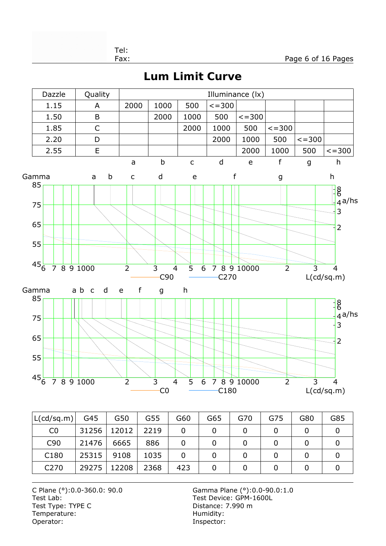Fax: Page 6 of 16 Pages

**Lum Limit Curve**



| L(cd/sq.m)       | G45   | G50   | G55  | G60 | G65 | G70 | G75 | G80 | G85 |
|------------------|-------|-------|------|-----|-----|-----|-----|-----|-----|
| C <sub>0</sub>   | 31256 | 12012 | 2219 |     |     |     |     |     |     |
| C <sub>90</sub>  | 21476 | 6665  | 886  |     |     |     |     |     |     |
| C <sub>180</sub> | 25315 | 9108  | 1035 | 0   |     |     |     |     |     |
| C <sub>270</sub> | 29275 | 12208 | 2368 | 423 |     |     |     |     |     |

C Plane (°):0.0-360.0: 90.0 Gamma Plane (°):0.0-90.0:1.0 Test Lab: Test Device: GPM-1600L Test Type: TYPE C<br>
Temperature: Contract Contract Contract Contract Contract Contract Contract Contract Contract Contract Contract Contract Contract Contract Contract Contract Contract Contract Contract Contract Contract C Temperature:<br>Operator:

Inspector:

Tel: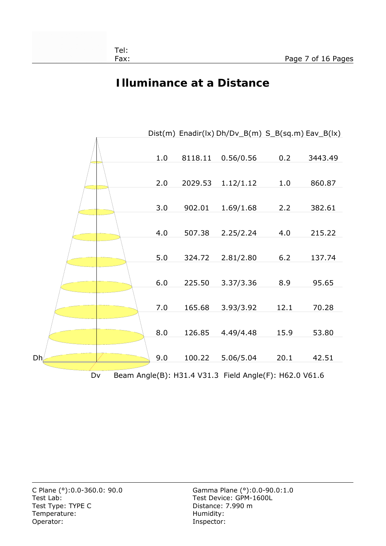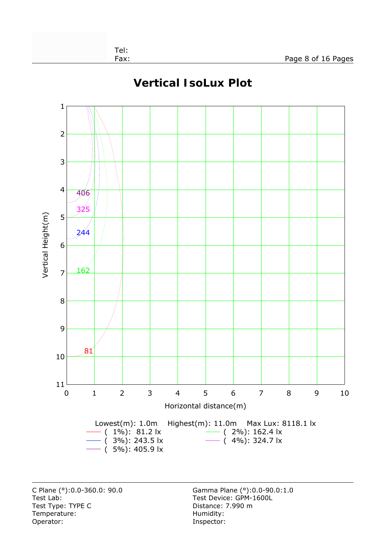

#### **Vertical IsoLux Plot**

Test Lab: Test Device: GPM-1600L Test Type: TYPE C Distance: 7.990 m Temperature: Temperature: Temperature: Operator: Inspector:

C Plane (°):0.0-360.0: 90.0 Gamma Plane (°):0.0-90.0:1.0

Tel: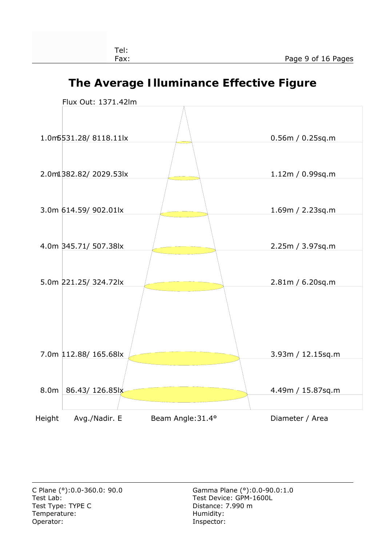## **The Average Illuminance Effective Figure**

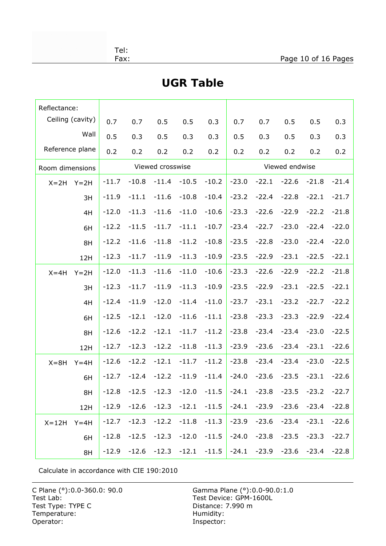|  | $\overline{\phantom{a}}$<br>۰. | - |
|--|--------------------------------|---|
|  |                                |   |

| Reflectance:    |                  |         |         |                  |         |         |         |         |                |         |               |
|-----------------|------------------|---------|---------|------------------|---------|---------|---------|---------|----------------|---------|---------------|
|                 | Ceiling (cavity) | 0.7     | 0.7     | 0.5              | 0.5     | 0.3     | 0.7     | 0.7     | 0.5            | 0.5     | 0.3           |
|                 | Wall             | 0.5     | 0.3     | 0.5              | 0.3     | 0.3     | 0.5     | 0.3     | 0.5            | 0.3     | 0.3           |
| Reference plane |                  | 0.2     | 0.2     | 0.2              | 0.2     | 0.2     | 0.2     | 0.2     | 0.2            | 0.2     | 0.2           |
| Room dimensions |                  |         |         | Viewed crosswise |         |         |         |         | Viewed endwise |         |               |
| $X = 2H$        | $Y = 2H$         | $-11.7$ | $-10.8$ | $-11.4$          | $-10.5$ | $-10.2$ | $-23.0$ | $-22.1$ | $-22.6$        | $-21.8$ | $-21.4$       |
|                 | 3H               | $-11.9$ | $-11.1$ | $-11.6$          | $-10.8$ | $-10.4$ | $-23.2$ | $-22.4$ | $-22.8$        | $-22.1$ | $-21.7$       |
|                 | 4H               | $-12.0$ | $-11.3$ | $-11.6$          | $-11.0$ | $-10.6$ | $-23.3$ | $-22.6$ | $-22.9$        | $-22.2$ | $-21.8$       |
|                 | 6H               | $-12.2$ | $-11.5$ | $-11.7$          | $-11.1$ | $-10.7$ | $-23.4$ | $-22.7$ | $-23.0$        | $-22.4$ | $-22.0$       |
|                 | 8H               | $-12.2$ | $-11.6$ | $-11.8$          | $-11.2$ | $-10.8$ | $-23.5$ | $-22.8$ | $-23.0$        | $-22.4$ | $-22.0$       |
|                 | 12H              | $-12.3$ | $-11.7$ | $-11.9$          | $-11.3$ | $-10.9$ | $-23.5$ | $-22.9$ | $-23.1$        | $-22.5$ | $-22.1$       |
| $X = 4H$        | $Y = 2H$         | $-12.0$ | $-11.3$ | $-11.6$          | $-11.0$ | $-10.6$ | $-23.3$ | $-22.6$ | $-22.9$        | $-22.2$ | $-21.8$       |
|                 | 3H               | $-12.3$ | $-11.7$ | $-11.9$          | $-11.3$ | $-10.9$ | $-23.5$ | $-22.9$ | $-23.1$        | $-22.5$ | $-22.1$       |
|                 | 4H               | $-12.4$ | $-11.9$ | $-12.0$          | $-11.4$ | $-11.0$ | $-23.7$ | $-23.1$ | $-23.2$        | $-22.7$ | $-22.2$       |
|                 | 6H               | $-12.5$ | $-12.1$ | $-12.0$          | $-11.6$ | $-11.1$ | $-23.8$ | $-23.3$ | $-23.3$        | $-22.9$ | $-22.4$       |
|                 | 8H               | $-12.6$ | $-12.2$ | $-12.1$          | $-11.7$ | $-11.2$ | $-23.8$ | $-23.4$ | $-23.4$        | $-23.0$ | $-22.5$       |
|                 | 12H              | $-12.7$ | $-12.3$ | $-12.2$          | $-11.8$ | $-11.3$ | $-23.9$ | $-23.6$ | $-23.4$        | $-23.1$ | $-22.6$       |
| $X = 8H$        | $Y = 4H$         | $-12.6$ | $-12.2$ | $-12.1$          | $-11.7$ | $-11.2$ | $-23.8$ | $-23.4$ | $-23.4$        | $-23.0$ | $-22.5$       |
|                 | 6H               | $-12.7$ | $-12.4$ | $-12.2$          | $-11.9$ | $-11.4$ | $-24.0$ | $-23.6$ | $-23.5$        | $-23.1$ | $-22.6$       |
|                 | 8H               | $-12.8$ | $-12.5$ | $-12.3$          | $-12.0$ | $-11.5$ | $-24.1$ | $-23.8$ | $-23.5$        |         | $-23.2 -22.7$ |
|                 | 12H              | $-12.9$ | $-12.6$ | $-12.3$          | $-12.1$ | $-11.5$ | $-24.1$ | $-23.9$ | $-23.6$        | $-23.4$ | $-22.8$       |
| $X = 12H$       | $Y = 4H$         | $-12.7$ | $-12.3$ | $-12.2$          | $-11.8$ | $-11.3$ | $-23.9$ | $-23.6$ | $-23.4$        | $-23.1$ | $-22.6$       |
|                 | 6H               | $-12.8$ | $-12.5$ | $-12.3$          | $-12.0$ | $-11.5$ | $-24.0$ | $-23.8$ | $-23.5$        | $-23.3$ | $-22.7$       |
|                 | 8H               | $-12.9$ | $-12.6$ | $-12.3$          | $-12.1$ | $-11.5$ | $-24.1$ | $-23.9$ | $-23.6$        | $-23.4$ | $-22.8$       |

## **UGR Table**

Calculate in accordance with CIE 190:2010

Test Lab: Test Device: GPM-1600L Test Type: TYPE C Distance: 7.990 m Temperature: Temperature: Temperature: Humidity:<br>
Operator: This is a state of the state of the state of the state of the state of the state of the state of the state of the state of the state of the state of the state of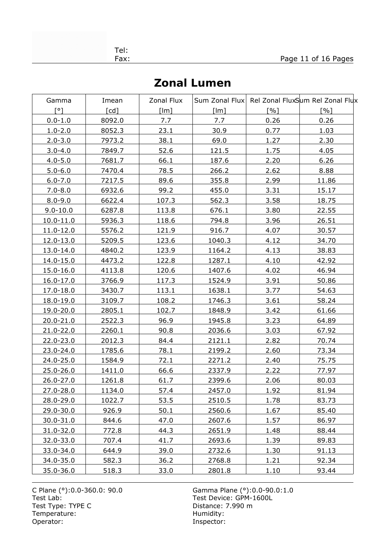| Gamma         | Imean              | Zonal Flux |        |      | Sum Zonal Flux Rel Zonal FluxSum Rel Zonal Flux |
|---------------|--------------------|------------|--------|------|-------------------------------------------------|
| ۲°۱           | $\lceil cd \rceil$ | [Im]       | [Im]   | [%]  | [%]                                             |
| $0.0 - 1.0$   | 8092.0             | 7.7        | 7.7    | 0.26 | 0.26                                            |
| $1.0 - 2.0$   | 8052.3             | 23.1       | 30.9   | 0.77 | 1.03                                            |
| $2.0 - 3.0$   | 7973.2             | 38.1       | 69.0   | 1.27 | 2.30                                            |
| $3.0 - 4.0$   | 7849.7             | 52.6       | 121.5  | 1.75 | 4.05                                            |
| $4.0 - 5.0$   | 7681.7             | 66.1       | 187.6  | 2.20 | 6.26                                            |
| $5.0 - 6.0$   | 7470.4             | 78.5       | 266.2  | 2.62 | 8.88                                            |
| $6.0 - 7.0$   | 7217.5             | 89.6       | 355.8  | 2.99 | 11.86                                           |
| $7.0 - 8.0$   | 6932.6             | 99.2       | 455.0  | 3.31 | 15.17                                           |
| $8.0 - 9.0$   | 6622.4             | 107.3      | 562.3  | 3.58 | 18.75                                           |
| $9.0 - 10.0$  | 6287.8             | 113.8      | 676.1  | 3.80 | 22.55                                           |
| $10.0 - 11.0$ | 5936.3             | 118.6      | 794.8  | 3.96 | 26.51                                           |
| 11.0-12.0     | 5576.2             | 121.9      | 916.7  | 4.07 | 30.57                                           |
| 12.0-13.0     | 5209.5             | 123.6      | 1040.3 | 4.12 | 34.70                                           |
| 13.0-14.0     | 4840.2             | 123.9      | 1164.2 | 4.13 | 38.83                                           |
| 14.0-15.0     | 4473.2             | 122.8      | 1287.1 | 4.10 | 42.92                                           |
| 15.0-16.0     | 4113.8             | 120.6      | 1407.6 | 4.02 | 46.94                                           |
| $16.0 - 17.0$ | 3766.9             | 117.3      | 1524.9 | 3.91 | 50.86                                           |
| 17.0-18.0     | 3430.7             | 113.1      | 1638.1 | 3.77 | 54.63                                           |
| 18.0-19.0     | 3109.7             | 108.2      | 1746.3 | 3.61 | 58.24                                           |
| 19.0-20.0     | 2805.1             | 102.7      | 1848.9 | 3.42 | 61.66                                           |
| 20.0-21.0     | 2522.3             | 96.9       | 1945.8 | 3.23 | 64.89                                           |
| 21.0-22.0     | 2260.1             | 90.8       | 2036.6 | 3.03 | 67.92                                           |
| 22.0-23.0     | 2012.3             | 84.4       | 2121.1 | 2.82 | 70.74                                           |
| 23.0-24.0     | 1785.6             | 78.1       | 2199.2 | 2.60 | 73.34                                           |
| 24.0-25.0     | 1584.9             | 72.1       | 2271.2 | 2.40 | 75.75                                           |
| 25.0-26.0     | 1411.0             | 66.6       | 2337.9 | 2.22 | 77.97                                           |
| 26.0-27.0     | 1261.8             | 61.7       | 2399.6 | 2.06 | 80.03                                           |
| 27.0-28.0     | 1134.0             | 57.4       | 2457.0 | 1.92 | 81.94                                           |
| 28.0-29.0     | 1022.7             | 53.5       | 2510.5 | 1.78 | 83.73                                           |
| 29.0-30.0     | 926.9              | 50.1       | 2560.6 | 1.67 | 85.40                                           |
| 30.0-31.0     | 844.6              | 47.0       | 2607.6 | 1.57 | 86.97                                           |
| 31.0-32.0     | 772.8              | 44.3       | 2651.9 | 1.48 | 88.44                                           |
| 32.0-33.0     | 707.4              | 41.7       | 2693.6 | 1.39 | 89.83                                           |
| 33.0-34.0     | 644.9              | 39.0       | 2732.6 | 1.30 | 91.13                                           |
| 34.0-35.0     | 582.3              | 36.2       | 2768.8 | 1.21 | 92.34                                           |
| 35.0-36.0     | 518.3              | 33.0       | 2801.8 | 1.10 | 93.44                                           |

Test Lab: Test Device: GPM-1600L Test Type: TYPE C Distance: 7.990 m Temperature: Temperature: Temperature: Operator: Inspector: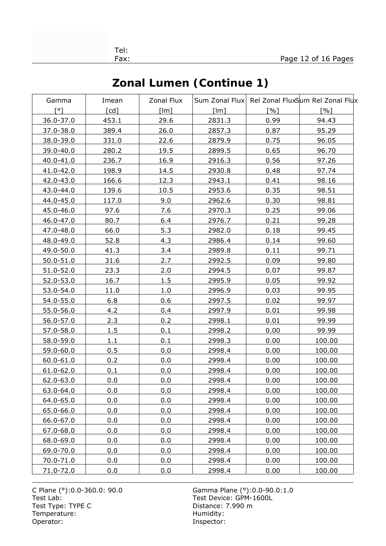| ×<br>۰. | - |  |
|---------|---|--|
|         |   |  |

| Gamma                 | Imean | Zonal Flux |        |      | Sum Zonal Flux Rel Zonal FluxSum Rel Zonal Flux |
|-----------------------|-------|------------|--------|------|-------------------------------------------------|
| $\lceil \circ \rceil$ | [cd]  | [Im]       | [Im]   | [%]  | $\lceil \% \rceil$                              |
| 36.0-37.0             | 453.1 | 29.6       | 2831.3 | 0.99 | 94.43                                           |
| 37.0-38.0             | 389.4 | 26.0       | 2857.3 | 0.87 | 95.29                                           |
| 38.0-39.0             | 331.0 | 22.6       | 2879.9 | 0.75 | 96.05                                           |
| 39.0-40.0             | 280.2 | 19.5       | 2899.5 | 0.65 | 96.70                                           |
| 40.0-41.0             | 236.7 | 16.9       | 2916.3 | 0.56 | 97.26                                           |
| 41.0-42.0             | 198.9 | 14.5       | 2930.8 | 0.48 | 97.74                                           |
| 42.0-43.0             | 166.6 | 12.3       | 2943.1 | 0.41 | 98.16                                           |
| 43.0-44.0             | 139.6 | 10.5       | 2953.6 | 0.35 | 98.51                                           |
| 44.0-45.0             | 117.0 | 9.0        | 2962.6 | 0.30 | 98.81                                           |
| 45.0-46.0             | 97.6  | 7.6        | 2970.3 | 0.25 | 99.06                                           |
| 46.0-47.0             | 80.7  | 6.4        | 2976.7 | 0.21 | 99.28                                           |
| 47.0-48.0             | 66.0  | 5.3        | 2982.0 | 0.18 | 99.45                                           |
| 48.0-49.0             | 52.8  | 4.3        | 2986.4 | 0.14 | 99.60                                           |
| 49.0-50.0             | 41.3  | 3.4        | 2989.8 | 0.11 | 99.71                                           |
| 50.0-51.0             | 31.6  | 2.7        | 2992.5 | 0.09 | 99.80                                           |
| 51.0-52.0             | 23.3  | 2.0        | 2994.5 | 0.07 | 99.87                                           |
| 52.0-53.0             | 16.7  | 1.5        | 2995.9 | 0.05 | 99.92                                           |
| 53.0-54.0             | 11.0  | 1.0        | 2996.9 | 0.03 | 99.95                                           |
| 54.0-55.0             | 6.8   | 0.6        | 2997.5 | 0.02 | 99.97                                           |
| 55.0-56.0             | 4.2   | 0.4        | 2997.9 | 0.01 | 99.98                                           |
| 56.0-57.0             | 2.3   | 0.2        | 2998.1 | 0.01 | 99.99                                           |
| 57.0-58.0             | 1.5   | 0.1        | 2998.2 | 0.00 | 99.99                                           |
| 58.0-59.0             | 1.1   | 0.1        | 2998.3 | 0.00 | 100.00                                          |
| 59.0-60.0             | 0.5   | 0.0        | 2998.4 | 0.00 | 100.00                                          |
| 60.0-61.0             | 0.2   | 0.0        | 2998.4 | 0.00 | 100.00                                          |
| 61.0-62.0             | 0.1   | 0.0        | 2998.4 | 0.00 | 100.00                                          |
| 62.0-63.0             | 0.0   | 0.0        | 2998.4 | 0.00 | 100.00                                          |
| 63.0-64.0             | 0.0   | 0.0        | 2998.4 | 0.00 | 100.00                                          |
| 64.0-65.0             | 0.0   | 0.0        | 2998.4 | 0.00 | 100.00                                          |
| 65.0-66.0             | 0.0   | 0.0        | 2998.4 | 0.00 | 100.00                                          |
| 66.0-67.0             | 0.0   | 0.0        | 2998.4 | 0.00 | 100.00                                          |
| 67.0-68.0             | 0.0   | 0.0        | 2998.4 | 0.00 | 100.00                                          |
| 68.0-69.0             | 0.0   | 0.0        | 2998.4 | 0.00 | 100.00                                          |
| 69.0-70.0             | 0.0   | 0.0        | 2998.4 | 0.00 | 100.00                                          |
| 70.0-71.0             | 0.0   | 0.0        | 2998.4 | 0.00 | 100.00                                          |
| 71.0-72.0             | 0.0   | 0.0        | 2998.4 | 0.00 | 100.00                                          |

# **Zonal Lumen (Continue 1)**

C Plane (°):0.0-360.0: 90.0 Gamma Plane (°):0.0-90.0:1.0 Test Lab: Test Device: GPM-1600L Test Type: TYPE C Distance: 7.990 m Temperature: Temperature: Temperature: Humidity:<br>
Operator: This is a state of the state of the state of the state of the state of the state of the state of the state of the state of the state of the state of the state of

Inspector: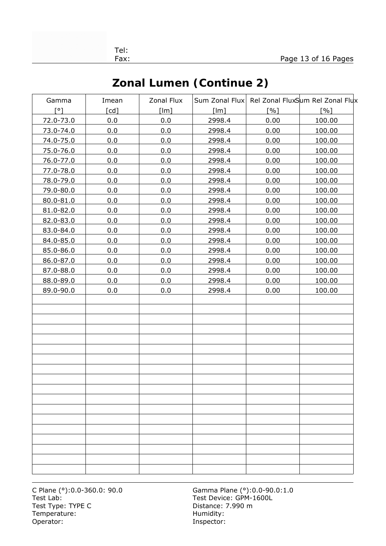| Zonal Lumen (Continue 2) |  |
|--------------------------|--|
|--------------------------|--|

| Gamma       | Imean | Zonal Flux |        |      | Sum Zonal Flux Rel Zonal FluxSum Rel Zonal Flux |
|-------------|-------|------------|--------|------|-------------------------------------------------|
| $\lceil$ °1 | [cd]  | [Im]       | [Im]   | [%]  | [%]                                             |
| 72.0-73.0   | 0.0   | 0.0        | 2998.4 | 0.00 | 100.00                                          |
| 73.0-74.0   | 0.0   | 0.0        | 2998.4 | 0.00 | 100.00                                          |
| 74.0-75.0   | 0.0   | 0.0        | 2998.4 | 0.00 | 100.00                                          |
| 75.0-76.0   | 0.0   | 0.0        | 2998.4 | 0.00 | 100.00                                          |
| 76.0-77.0   | 0.0   | 0.0        | 2998.4 | 0.00 | 100.00                                          |
| 77.0-78.0   | 0.0   | 0.0        | 2998.4 | 0.00 | 100.00                                          |
| 78.0-79.0   | 0.0   | 0.0        | 2998.4 | 0.00 | 100.00                                          |
| 79.0-80.0   | 0.0   | 0.0        | 2998.4 | 0.00 | 100.00                                          |
| 80.0-81.0   | 0.0   | 0.0        | 2998.4 | 0.00 | 100.00                                          |
| 81.0-82.0   | 0.0   | 0.0        | 2998.4 | 0.00 | 100.00                                          |
| 82.0-83.0   | 0.0   | 0.0        | 2998.4 | 0.00 | 100.00                                          |
| 83.0-84.0   | 0.0   | 0.0        | 2998.4 | 0.00 | 100.00                                          |
| 84.0-85.0   | 0.0   | 0.0        | 2998.4 | 0.00 | 100.00                                          |
| 85.0-86.0   | 0.0   | 0.0        | 2998.4 | 0.00 | 100.00                                          |
| 86.0-87.0   | 0.0   | 0.0        | 2998.4 | 0.00 | 100.00                                          |
| 87.0-88.0   | 0.0   | 0.0        | 2998.4 | 0.00 | 100.00                                          |
| 88.0-89.0   | 0.0   | 0.0        | 2998.4 | 0.00 | 100.00                                          |
| 89.0-90.0   | 0.0   | 0.0        | 2998.4 | 0.00 | 100.00                                          |
|             |       |            |        |      |                                                 |
|             |       |            |        |      |                                                 |
|             |       |            |        |      |                                                 |
|             |       |            |        |      |                                                 |
|             |       |            |        |      |                                                 |
|             |       |            |        |      |                                                 |
|             |       |            |        |      |                                                 |
|             |       |            |        |      |                                                 |
|             |       |            |        |      |                                                 |
|             |       |            |        |      |                                                 |
|             |       |            |        |      |                                                 |
|             |       |            |        |      |                                                 |
|             |       |            |        |      |                                                 |
|             |       |            |        |      |                                                 |
|             |       |            |        |      |                                                 |
|             |       |            |        |      |                                                 |
|             |       |            |        |      |                                                 |
|             |       |            |        |      |                                                 |

Test Lab: Test Device: GPM-1600L Test Type: TYPE C Distance: 7.990 m Temperature: Temperature: Temperature: Operator: Inspector: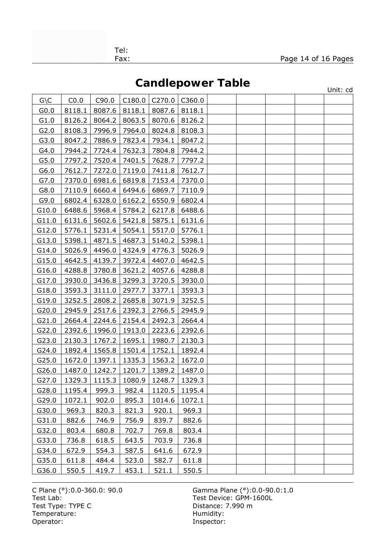**Candlepower Table**

|                  |        |        |        |        | <b>OUTION-POWST TUNIC</b> |  |  | Unit: cd |
|------------------|--------|--------|--------|--------|---------------------------|--|--|----------|
| $G \setminus C$  | CO.0   | C90.0  | C180.0 | C270.0 | C360.0                    |  |  |          |
| G <sub>0.0</sub> | 8118.1 | 8087.6 | 8118.1 | 8087.6 | 8118.1                    |  |  |          |
| G1.0             | 8126.2 | 8064.2 | 8063.5 | 8070.6 | 8126.2                    |  |  |          |
| G2.0             | 8108.3 | 7996.9 | 7964.0 | 8024.8 | 8108.3                    |  |  |          |
| G3.0             | 8047.2 | 7886.9 | 7823.4 | 7934.1 | 8047.2                    |  |  |          |
| G4.0             | 7944.2 | 7724.4 | 7632.3 | 7804.8 | 7944.2                    |  |  |          |
| G5.0             | 7797.2 | 7520.4 | 7401.5 | 7628.7 | 7797.2                    |  |  |          |
| G6.0             | 7612.7 | 7272.0 | 7119.0 | 7411.8 | 7612.7                    |  |  |          |
| G7.0             | 7370.0 | 6981.6 | 6819.8 | 7153.4 | 7370.0                    |  |  |          |
| G8.0             | 7110.9 | 6660.4 | 6494.6 | 6869.7 | 7110.9                    |  |  |          |
| G9.0             | 6802.4 | 6328.0 | 6162.2 | 6550.9 | 6802.4                    |  |  |          |
| G10.0            | 6488.6 | 5968.4 | 5784.2 | 6217.8 | 6488.6                    |  |  |          |
| G11.0            | 6131.6 | 5602.6 | 5421.8 | 5875.1 | 6131.6                    |  |  |          |
| G12.0            | 5776.1 | 5231.4 | 5054.1 | 5517.0 | 5776.1                    |  |  |          |
| G13.0            | 5398.1 | 4871.5 | 4687.3 | 5140.2 | 5398.1                    |  |  |          |
| G14.0            | 5026.9 | 4496.0 | 4324.9 | 4776.3 | 5026.9                    |  |  |          |
| G15.0            | 4642.5 | 4139.7 | 3972.4 | 4407.0 | 4642.5                    |  |  |          |
| G16.0            | 4288.8 | 3780.8 | 3621.2 | 4057.6 | 4288.8                    |  |  |          |
| G17.0            | 3930.0 | 3436.8 | 3299.3 | 3720.5 | 3930.0                    |  |  |          |
| G18.0            | 3593.3 | 3111.0 | 2977.7 | 3377.1 | 3593.3                    |  |  |          |
| G19.0            | 3252.5 | 2808.2 | 2685.8 | 3071.9 | 3252.5                    |  |  |          |
| G20.0            | 2945.9 | 2517.6 | 2392.3 | 2766.5 | 2945.9                    |  |  |          |
| G21.0            | 2664.4 | 2244.6 | 2154.4 | 2492.3 | 2664.4                    |  |  |          |
| G22.0            | 2392.6 | 1996.0 | 1913.0 | 2223.6 | 2392.6                    |  |  |          |
| G23.0            | 2130.3 | 1767.2 | 1695.1 | 1980.7 | 2130.3                    |  |  |          |
| G24.0            | 1892.4 | 1565.8 | 1501.4 | 1752.1 | 1892.4                    |  |  |          |
| G25.0            | 1672.0 | 1397.1 | 1335.3 | 1563.2 | 1672.0                    |  |  |          |
| G26.0            | 1487.0 | 1242.7 | 1201.7 | 1389.2 | 1487.0                    |  |  |          |
| G27.0            | 1329.3 | 1115.3 | 1080.9 | 1248.7 | 1329.3                    |  |  |          |
| G28.0            | 1195.4 | 999.3  | 982.4  | 1120.5 | 1195.4                    |  |  |          |
| G29.0            | 1072.1 | 902.0  | 895.3  | 1014.6 | 1072.1                    |  |  |          |
| G30.0            | 969.3  | 820.3  | 821.3  | 920.1  | 969.3                     |  |  |          |
| G31.0            | 882.6  | 746.9  | 756.9  | 839.7  | 882.6                     |  |  |          |
| G32.0            | 803.4  | 680.8  | 702.7  | 769.8  | 803.4                     |  |  |          |
| G33.0            | 736.8  | 618.5  | 643.5  | 703.9  | 736.8                     |  |  |          |
| G34.0            | 672.9  | 554.3  | 587.5  | 641.6  | 672.9                     |  |  |          |
| G35.0            | 611.8  | 484.4  | 523.0  | 582.7  | 611.8                     |  |  |          |
| G36.0            | 550.5  | 419.7  | 453.1  | 521.1  | 550.5                     |  |  |          |

C Plane (°):0.0-360.0: 90.0 Gamma Plane (°):0.0-90.0:1.0 Test Lab: Test Device: GPM-1600L Test Type: TYPE C Distance: 7.990 m Temperature: Temperature: Temperature: Humidity:<br>
Operator: This is a state of the state of the state of the state of the state of the state of the state of the state of the state of the state of the state of the state of

Inspector: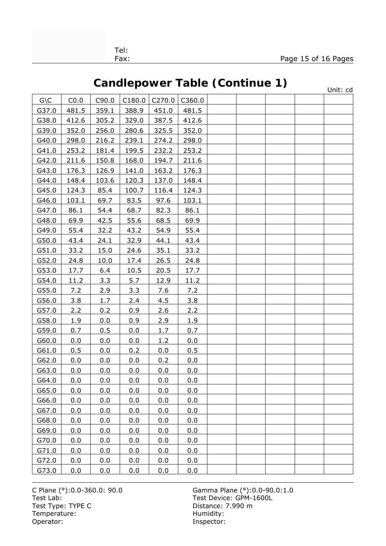# **Candlepower Table (Continue 1)**

|                 |       |       |        |        | Vanuicpower rabic (continue r) |  |  | Unit: cd |
|-----------------|-------|-------|--------|--------|--------------------------------|--|--|----------|
| $G \setminus C$ | CO.0  | C90.0 | C180.0 | C270.0 | C360.0                         |  |  |          |
| G37.0           | 481.5 | 359.1 | 388.9  | 451.0  | 481.5                          |  |  |          |
| G38.0           | 412.6 | 305.2 | 329.0  | 387.5  | 412.6                          |  |  |          |
| G39.0           | 352.0 | 256.0 | 280.6  | 325.5  | 352.0                          |  |  |          |
| G40.0           | 298.0 | 216.2 | 239.1  | 274.2  | 298.0                          |  |  |          |
| G41.0           | 253.2 | 181.4 | 199.5  | 232.2  | 253.2                          |  |  |          |
| G42.0           | 211.6 | 150.8 | 168.0  | 194.7  | 211.6                          |  |  |          |
| G43.0           | 176.3 | 126.9 | 141.0  | 163.2  | 176.3                          |  |  |          |
| G44.0           | 148.4 | 103.6 | 120.3  | 137.0  | 148.4                          |  |  |          |
| G45.0           | 124.3 | 85.4  | 100.7  | 116.4  | 124.3                          |  |  |          |
| G46.0           | 103.1 | 69.7  | 83.5   | 97.6   | 103.1                          |  |  |          |
| G47.0           | 86.1  | 54.4  | 68.7   | 82.3   | 86.1                           |  |  |          |
| G48.0           | 69.9  | 42.5  | 55.6   | 68.5   | 69.9                           |  |  |          |
| G49.0           | 55.4  | 32.2  | 43.2   | 54.9   | 55.4                           |  |  |          |
| G50.0           | 43.4  | 24.1  | 32.9   | 44.1   | 43.4                           |  |  |          |
| G51.0           | 33.2  | 15.0  | 24.6   | 35.1   | 33.2                           |  |  |          |
| G52.0           | 24.8  | 10.0  | 17.4   | 26.5   | 24.8                           |  |  |          |
| G53.0           | 17.7  | 6.4   | 10.5   | 20.5   | 17.7                           |  |  |          |
| G54.0           | 11.2  | 3.3   | 5.7    | 12.9   | 11.2                           |  |  |          |
| G55.0           | 7.2   | 2.9   | 3.3    | 7.6    | 7.2                            |  |  |          |
| G56.0           | 3.8   | 1.7   | 2.4    | 4.5    | 3.8                            |  |  |          |
| G57.0           | 2.2   | 0.2   | 0.9    | 2.6    | 2.2                            |  |  |          |
| G58.0           | 1.9   | 0.0   | 0.9    | 2.9    | 1.9                            |  |  |          |
| G59.0           | 0.7   | 0.5   | 0.0    | 1.7    | 0.7                            |  |  |          |
| G60.0           | 0.0   | 0.0   | 0.0    | 1.2    | 0.0                            |  |  |          |
| G61.0           | 0.5   | 0.0   | 0.2    | 0.0    | 0.5                            |  |  |          |
| G62.0           | 0.0   | 0.0   | 0.0    | 0.2    | 0.0                            |  |  |          |
| G63.0           | 0.0   | 0.0   | 0.0    | 0.0    | 0.0                            |  |  |          |
| G64.0           | 0.0   | 0.0   | 0.0    | 0.0    | 0.0                            |  |  |          |
| G65.0           | 0.0   | 0.0   | 0.0    | 0.0    | 0.0                            |  |  |          |
| G66.0           | 0.0   | 0.0   | 0.0    | 0.0    | 0.0                            |  |  |          |
| G67.0           | 0.0   | 0.0   | 0.0    | 0.0    | 0.0                            |  |  |          |
| G68.0           | 0.0   | 0.0   | 0.0    | 0.0    | 0.0                            |  |  |          |
| G69.0           | 0.0   | 0.0   | 0.0    | 0.0    | 0.0                            |  |  |          |
| G70.0           | 0.0   | 0.0   | 0.0    | 0.0    | 0.0                            |  |  |          |
| G71.0           | 0.0   | 0.0   | 0.0    | 0.0    | 0.0                            |  |  |          |
| G72.0           | 0.0   | 0.0   | 0.0    | 0.0    | 0.0                            |  |  |          |
| G73.0           | 0.0   | 0.0   | 0.0    | 0.0    | 0.0                            |  |  |          |

Test Lab: Test Device: GPM-1600L Test Type: TYPE C Distance: 7.990 m Temperature: Temperature: Temperature: Humidity:<br>
Operator: This is a state of the state of the state of the state of the state of the state of the state of the state of the state of the state of the state of the state of